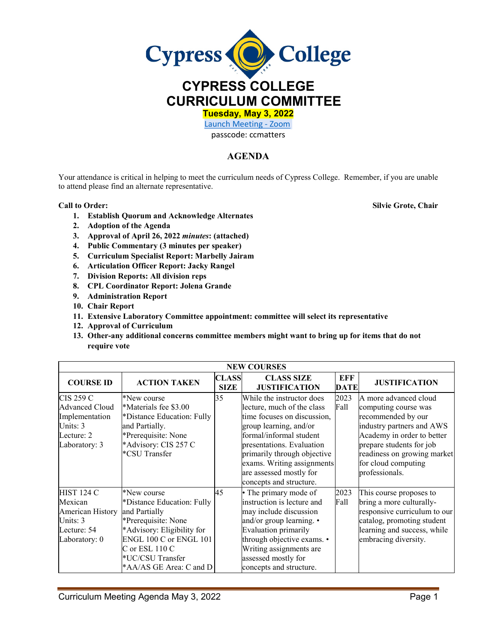

**Tuesday, May 3, 2022** 

[Launch Meeting - Zoom](https://cypresscollege-edu.zoom.us/j/96161669542?pwd=OWYraHlaR0UzOE9QYU9NaXlnSjRIZz09#success) 

passcode: ccmatters

## **AGENDA**

Your attendance is critical in helping to meet the curriculum needs of Cypress College. Remember, if you are unable to attend please find an alternate representative.

**1. Establish Quorum and Acknowledge Alternates**

**Call to Order: Silvie Grote, Chair**

- **2. Adoption of the Agenda**
- **3. Approval of April 26, 2022** *minutes***: (attached)**
- **4. Public Commentary (3 minutes per speaker)**
- **5. Curriculum Specialist Report: Marbelly Jairam**
- **6. Articulation Officer Report: Jacky Rangel**
- **7. Division Reports: All division reps**
- **8. CPL Coordinator Report: Jolena Grande**
- **9. Administration Report**
- **10. Chair Report**
- **11. Extensive Laboratory Committee appointment: committee will select its representative**
- **12. Approval of Curriculum**
- **13. Other-any additional concerns committee members might want to bring up for items that do not require vote**

| <b>NEW COURSES</b>                                                                              |                                                                                                                                                                                                            |                             |                                                                                                                                                                                                                                                                                             |                    |                                                                                                                                                                                                                                    |  |  |
|-------------------------------------------------------------------------------------------------|------------------------------------------------------------------------------------------------------------------------------------------------------------------------------------------------------------|-----------------------------|---------------------------------------------------------------------------------------------------------------------------------------------------------------------------------------------------------------------------------------------------------------------------------------------|--------------------|------------------------------------------------------------------------------------------------------------------------------------------------------------------------------------------------------------------------------------|--|--|
| <b>COURSE ID</b>                                                                                | <b>ACTION TAKEN</b>                                                                                                                                                                                        | <b>CLASS</b><br><b>SIZE</b> | <b>CLASS SIZE</b><br><b>JUSTIFICATION</b>                                                                                                                                                                                                                                                   | EFF<br><b>DATE</b> | <b>JUSTIFICATION</b>                                                                                                                                                                                                               |  |  |
| <b>CIS 259 C</b><br>Advanced Cloud<br>Implementation<br>Units: 3<br>Lecture: 2<br>Laboratory: 3 | *New course<br>*Materials fee \$3.00<br>*Distance Education: Fully<br>and Partially.<br>*Prerequisite: None<br>*Advisory: CIS 257 C<br>*CSU Transfer                                                       | 35                          | While the instructor does<br>lecture, much of the class<br>time focuses on discussion,<br>group learning, and/or<br>formal/informal student<br>presentations. Evaluation<br>primarily through objective<br>exams. Writing assignments<br>are assessed mostly for<br>concepts and structure. | 2023<br>Fall       | A more advanced cloud<br>computing course was<br>recommended by our<br>industry partners and AWS<br>Academy in order to better<br>prepare students for job<br>readiness on growing market<br>for cloud computing<br>professionals. |  |  |
| <b>HIST 124 C</b><br>Mexican<br>American History<br>Units: 3<br>Lecture: 54<br>Laboratory: 0    | *New course<br>*Distance Education: Fully<br>and Partially<br>*Prerequisite: None<br>*Advisory: Eligibility for<br>ENGL 100 C or ENGL 101<br>C or ESL 110 C<br>*UC/CSU Transfer<br>*AA/AS GE Area: C and D | 45                          | • The primary mode of<br>instruction is lecture and<br>may include discussion<br>and/or group learning. •<br>Evaluation primarily<br>through objective exams. •<br>Writing assignments are<br>assessed mostly for<br>concepts and structure.                                                | 2023<br>Fall       | This course proposes to<br>bring a more culturally-<br>responsive curriculum to our<br>catalog, promoting student<br>learning and success, while<br>embracing diversity.                                                           |  |  |